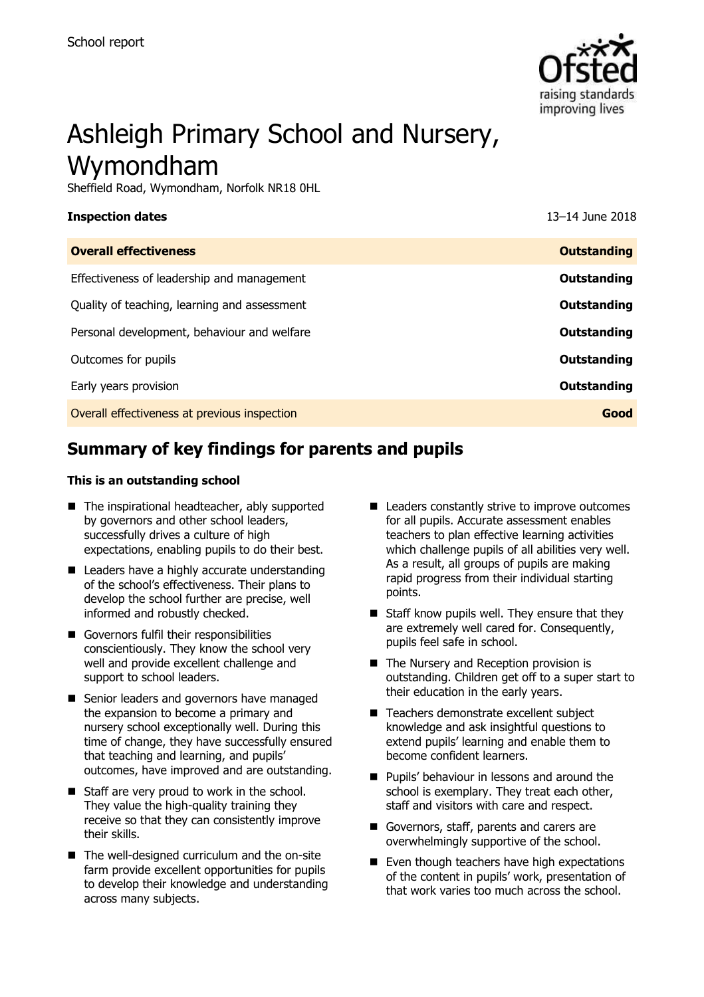

# Ashleigh Primary School and Nursery, Wymondham

Sheffield Road, Wymondham, Norfolk NR18 0HL

| <b>Inspection dates</b>                      | 13-14 June 2018    |
|----------------------------------------------|--------------------|
| <b>Overall effectiveness</b>                 | <b>Outstanding</b> |
| Effectiveness of leadership and management   | Outstanding        |
| Quality of teaching, learning and assessment | Outstanding        |
| Personal development, behaviour and welfare  | Outstanding        |
| Outcomes for pupils                          | Outstanding        |
| Early years provision                        | Outstanding        |
| Overall effectiveness at previous inspection | Good               |
|                                              |                    |

# **Summary of key findings for parents and pupils**

#### **This is an outstanding school**

- The inspirational headteacher, ably supported by governors and other school leaders, successfully drives a culture of high expectations, enabling pupils to do their best.
- Leaders have a highly accurate understanding of the school"s effectiveness. Their plans to develop the school further are precise, well informed and robustly checked.
- Governors fulfil their responsibilities conscientiously. They know the school very well and provide excellent challenge and support to school leaders.
- Senior leaders and governors have managed the expansion to become a primary and nursery school exceptionally well. During this time of change, they have successfully ensured that teaching and learning, and pupils" outcomes, have improved and are outstanding.
- Staff are very proud to work in the school. They value the high-quality training they receive so that they can consistently improve their skills.
- The well-designed curriculum and the on-site farm provide excellent opportunities for pupils to develop their knowledge and understanding across many subjects.
- Leaders constantly strive to improve outcomes for all pupils. Accurate assessment enables teachers to plan effective learning activities which challenge pupils of all abilities very well. As a result, all groups of pupils are making rapid progress from their individual starting points.
- $\blacksquare$  Staff know pupils well. They ensure that they are extremely well cared for. Consequently, pupils feel safe in school.
- The Nursery and Reception provision is outstanding. Children get off to a super start to their education in the early years.
- Teachers demonstrate excellent subject knowledge and ask insightful questions to extend pupils" learning and enable them to become confident learners.
- **Pupils' behaviour in lessons and around the** school is exemplary. They treat each other, staff and visitors with care and respect.
- Governors, staff, parents and carers are overwhelmingly supportive of the school.
- Even though teachers have high expectations of the content in pupils" work, presentation of that work varies too much across the school.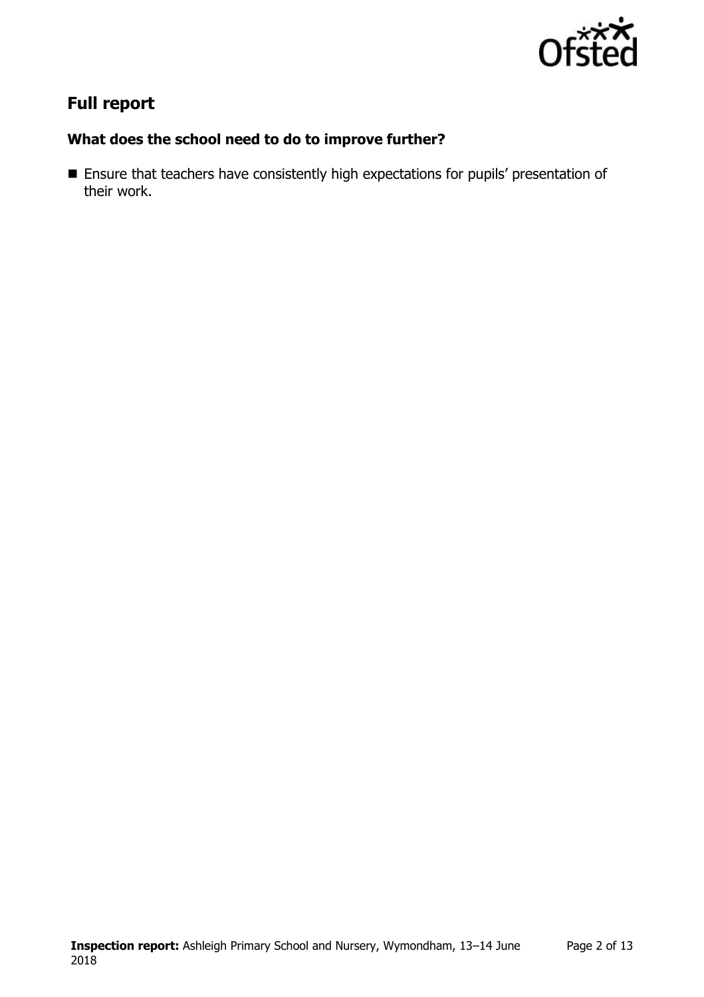

# **Full report**

### **What does the school need to do to improve further?**

**Ensure that teachers have consistently high expectations for pupils' presentation of** their work.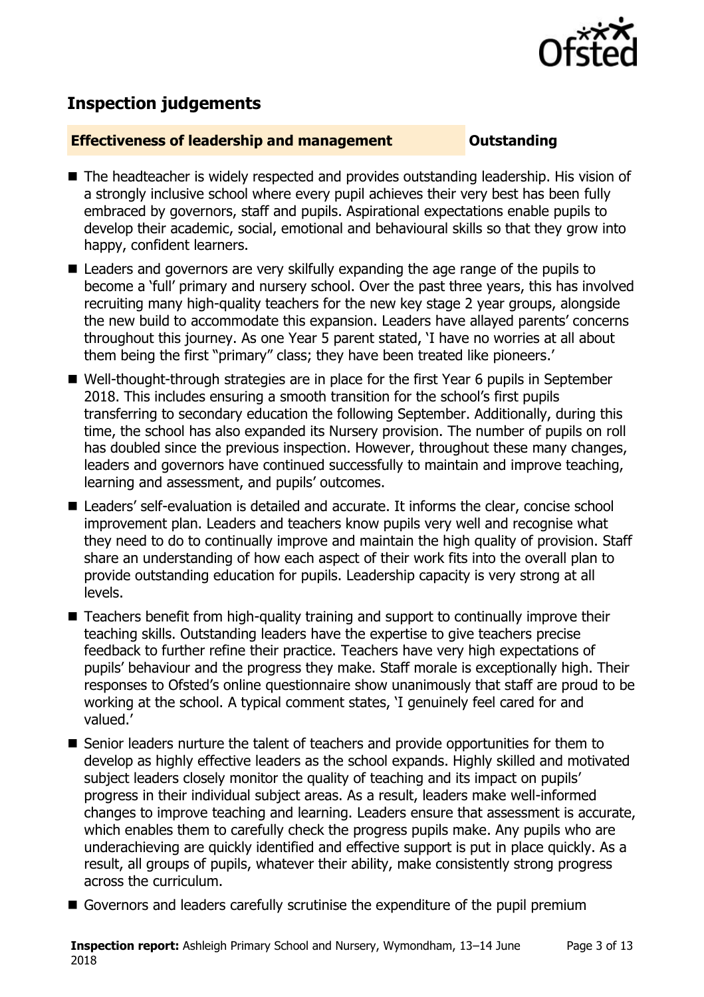

# **Inspection judgements**

#### **Effectiveness of leadership and management Constanding**

- The headteacher is widely respected and provides outstanding leadership. His vision of a strongly inclusive school where every pupil achieves their very best has been fully embraced by governors, staff and pupils. Aspirational expectations enable pupils to develop their academic, social, emotional and behavioural skills so that they grow into happy, confident learners.
- Leaders and governors are very skilfully expanding the age range of the pupils to become a "full" primary and nursery school. Over the past three years, this has involved recruiting many high-quality teachers for the new key stage 2 year groups, alongside the new build to accommodate this expansion. Leaders have allayed parents' concerns throughout this journey. As one Year 5 parent stated, "I have no worries at all about them being the first "primary" class; they have been treated like pioneers."
- Well-thought-through strategies are in place for the first Year 6 pupils in September 2018. This includes ensuring a smooth transition for the school"s first pupils transferring to secondary education the following September. Additionally, during this time, the school has also expanded its Nursery provision. The number of pupils on roll has doubled since the previous inspection. However, throughout these many changes, leaders and governors have continued successfully to maintain and improve teaching, learning and assessment, and pupils' outcomes.
- Leaders' self-evaluation is detailed and accurate. It informs the clear, concise school improvement plan. Leaders and teachers know pupils very well and recognise what they need to do to continually improve and maintain the high quality of provision. Staff share an understanding of how each aspect of their work fits into the overall plan to provide outstanding education for pupils. Leadership capacity is very strong at all levels.
- Teachers benefit from high-quality training and support to continually improve their teaching skills. Outstanding leaders have the expertise to give teachers precise feedback to further refine their practice. Teachers have very high expectations of pupils" behaviour and the progress they make. Staff morale is exceptionally high. Their responses to Ofsted"s online questionnaire show unanimously that staff are proud to be working at the school. A typical comment states, "I genuinely feel cared for and valued.'
- Senior leaders nurture the talent of teachers and provide opportunities for them to develop as highly effective leaders as the school expands. Highly skilled and motivated subject leaders closely monitor the quality of teaching and its impact on pupils' progress in their individual subject areas. As a result, leaders make well-informed changes to improve teaching and learning. Leaders ensure that assessment is accurate, which enables them to carefully check the progress pupils make. Any pupils who are underachieving are quickly identified and effective support is put in place quickly. As a result, all groups of pupils, whatever their ability, make consistently strong progress across the curriculum.
- Governors and leaders carefully scrutinise the expenditure of the pupil premium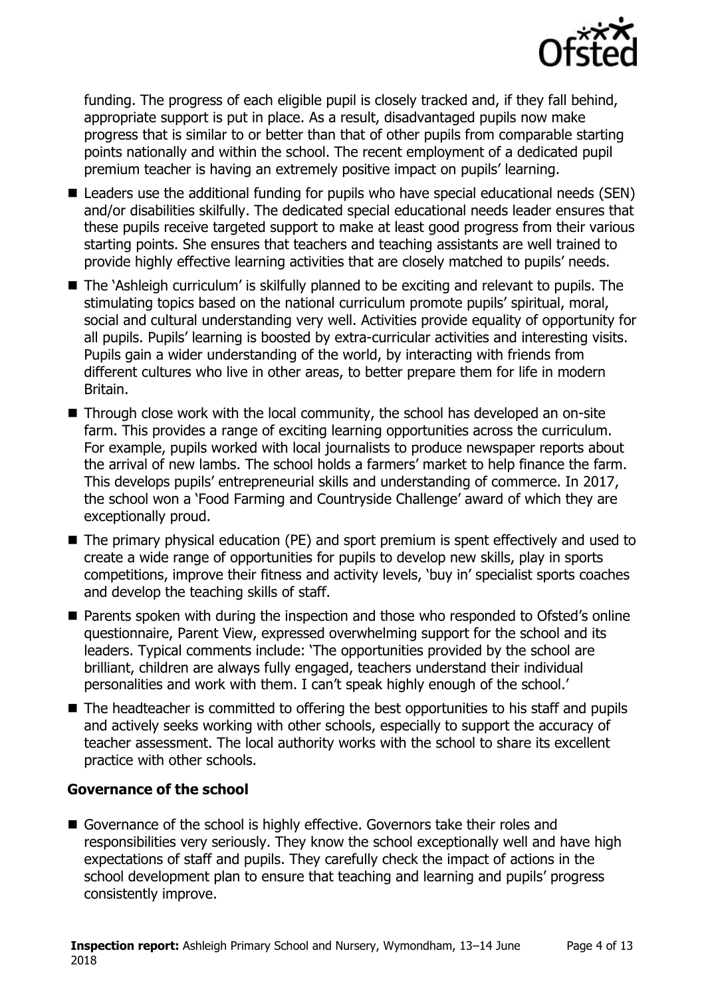

funding. The progress of each eligible pupil is closely tracked and, if they fall behind, appropriate support is put in place. As a result, disadvantaged pupils now make progress that is similar to or better than that of other pupils from comparable starting points nationally and within the school. The recent employment of a dedicated pupil premium teacher is having an extremely positive impact on pupils' learning.

- Leaders use the additional funding for pupils who have special educational needs (SEN) and/or disabilities skilfully. The dedicated special educational needs leader ensures that these pupils receive targeted support to make at least good progress from their various starting points. She ensures that teachers and teaching assistants are well trained to provide highly effective learning activities that are closely matched to pupils" needs.
- The `Ashleigh curriculum' is skilfully planned to be exciting and relevant to pupils. The stimulating topics based on the national curriculum promote pupils' spiritual, moral, social and cultural understanding very well. Activities provide equality of opportunity for all pupils. Pupils' learning is boosted by extra-curricular activities and interesting visits. Pupils gain a wider understanding of the world, by interacting with friends from different cultures who live in other areas, to better prepare them for life in modern Britain.
- Through close work with the local community, the school has developed an on-site farm. This provides a range of exciting learning opportunities across the curriculum. For example, pupils worked with local journalists to produce newspaper reports about the arrival of new lambs. The school holds a farmers' market to help finance the farm. This develops pupils" entrepreneurial skills and understanding of commerce. In 2017, the school won a "Food Farming and Countryside Challenge" award of which they are exceptionally proud.
- The primary physical education (PE) and sport premium is spent effectively and used to create a wide range of opportunities for pupils to develop new skills, play in sports competitions, improve their fitness and activity levels, "buy in" specialist sports coaches and develop the teaching skills of staff.
- Parents spoken with during the inspection and those who responded to Ofsted's online questionnaire, Parent View, expressed overwhelming support for the school and its leaders. Typical comments include: "The opportunities provided by the school are brilliant, children are always fully engaged, teachers understand their individual personalities and work with them. I can"t speak highly enough of the school."
- The headteacher is committed to offering the best opportunities to his staff and pupils and actively seeks working with other schools, especially to support the accuracy of teacher assessment. The local authority works with the school to share its excellent practice with other schools.

#### **Governance of the school**

Governance of the school is highly effective. Governors take their roles and responsibilities very seriously. They know the school exceptionally well and have high expectations of staff and pupils. They carefully check the impact of actions in the school development plan to ensure that teaching and learning and pupils' progress consistently improve.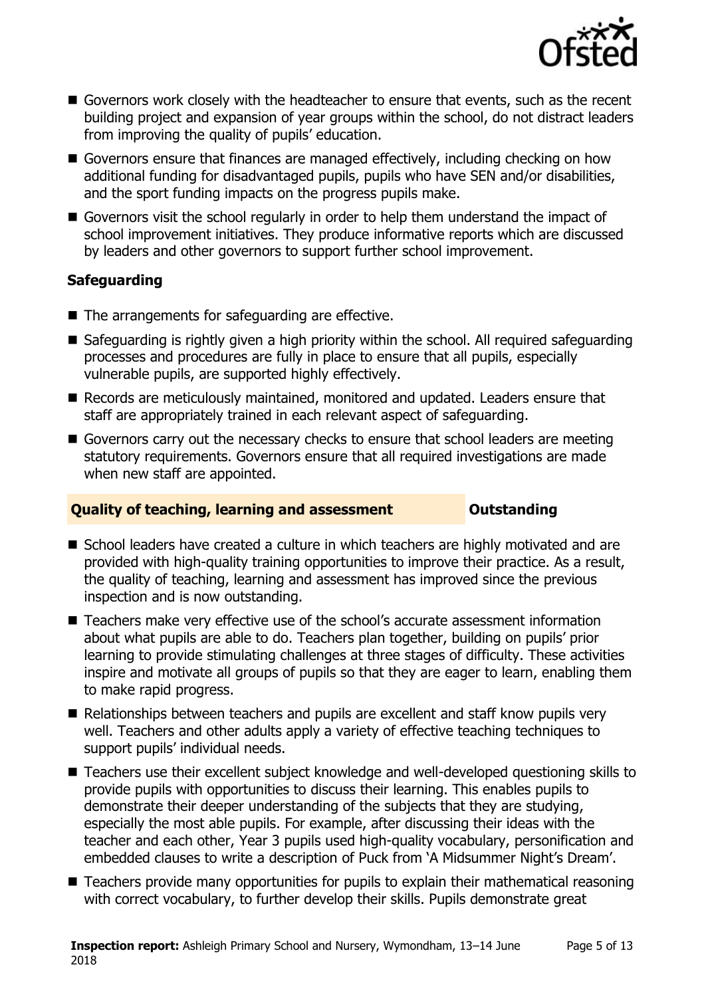

- Governors work closely with the headteacher to ensure that events, such as the recent building project and expansion of year groups within the school, do not distract leaders from improving the quality of pupils' education.
- Governors ensure that finances are managed effectively, including checking on how additional funding for disadvantaged pupils, pupils who have SEN and/or disabilities, and the sport funding impacts on the progress pupils make.
- Governors visit the school regularly in order to help them understand the impact of school improvement initiatives. They produce informative reports which are discussed by leaders and other governors to support further school improvement.

### **Safeguarding**

- The arrangements for safeguarding are effective.
- Safeguarding is rightly given a high priority within the school. All required safeguarding processes and procedures are fully in place to ensure that all pupils, especially vulnerable pupils, are supported highly effectively.
- Records are meticulously maintained, monitored and updated. Leaders ensure that staff are appropriately trained in each relevant aspect of safeguarding.
- Governors carry out the necessary checks to ensure that school leaders are meeting statutory requirements. Governors ensure that all required investigations are made when new staff are appointed.

### **Quality of teaching, learning and assessment Outstanding**

- School leaders have created a culture in which teachers are highly motivated and are provided with high-quality training opportunities to improve their practice. As a result, the quality of teaching, learning and assessment has improved since the previous inspection and is now outstanding.
- Teachers make very effective use of the school's accurate assessment information about what pupils are able to do. Teachers plan together, building on pupils" prior learning to provide stimulating challenges at three stages of difficulty. These activities inspire and motivate all groups of pupils so that they are eager to learn, enabling them to make rapid progress.
- Relationships between teachers and pupils are excellent and staff know pupils very well. Teachers and other adults apply a variety of effective teaching techniques to support pupils' individual needs.
- Teachers use their excellent subject knowledge and well-developed questioning skills to provide pupils with opportunities to discuss their learning. This enables pupils to demonstrate their deeper understanding of the subjects that they are studying, especially the most able pupils. For example, after discussing their ideas with the teacher and each other, Year 3 pupils used high-quality vocabulary, personification and embedded clauses to write a description of Puck from 'A Midsummer Night's Dream'.
- Teachers provide many opportunities for pupils to explain their mathematical reasoning with correct vocabulary, to further develop their skills. Pupils demonstrate great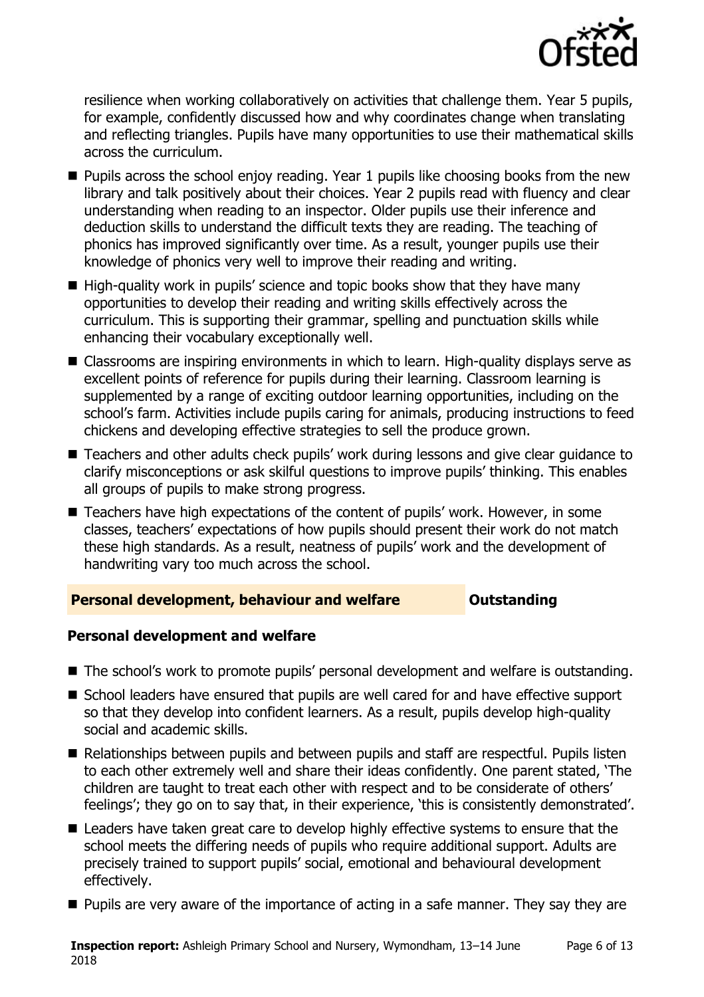

resilience when working collaboratively on activities that challenge them. Year 5 pupils, for example, confidently discussed how and why coordinates change when translating and reflecting triangles. Pupils have many opportunities to use their mathematical skills across the curriculum.

- $\blacksquare$  Pupils across the school enjoy reading. Year 1 pupils like choosing books from the new library and talk positively about their choices. Year 2 pupils read with fluency and clear understanding when reading to an inspector. Older pupils use their inference and deduction skills to understand the difficult texts they are reading. The teaching of phonics has improved significantly over time. As a result, younger pupils use their knowledge of phonics very well to improve their reading and writing.
- $\blacksquare$  High-quality work in pupils' science and topic books show that they have many opportunities to develop their reading and writing skills effectively across the curriculum. This is supporting their grammar, spelling and punctuation skills while enhancing their vocabulary exceptionally well.
- Classrooms are inspiring environments in which to learn. High-quality displays serve as excellent points of reference for pupils during their learning. Classroom learning is supplemented by a range of exciting outdoor learning opportunities, including on the school's farm. Activities include pupils caring for animals, producing instructions to feed chickens and developing effective strategies to sell the produce grown.
- Teachers and other adults check pupils' work during lessons and give clear guidance to clarify misconceptions or ask skilful questions to improve pupils" thinking. This enables all groups of pupils to make strong progress.
- Teachers have high expectations of the content of pupils' work. However, in some classes, teachers" expectations of how pupils should present their work do not match these high standards. As a result, neatness of pupils" work and the development of handwriting vary too much across the school.

#### **Personal development, behaviour and welfare <b>COUTS** Outstanding

#### **Personal development and welfare**

- The school's work to promote pupils' personal development and welfare is outstanding.
- School leaders have ensured that pupils are well cared for and have effective support so that they develop into confident learners. As a result, pupils develop high-quality social and academic skills.
- Relationships between pupils and between pupils and staff are respectful. Pupils listen to each other extremely well and share their ideas confidently. One parent stated, "The children are taught to treat each other with respect and to be considerate of others" feelings'; they go on to say that, in their experience, 'this is consistently demonstrated'.
- Leaders have taken great care to develop highly effective systems to ensure that the school meets the differing needs of pupils who require additional support. Adults are precisely trained to support pupils" social, emotional and behavioural development effectively.
- **Pupils are very aware of the importance of acting in a safe manner. They say they are**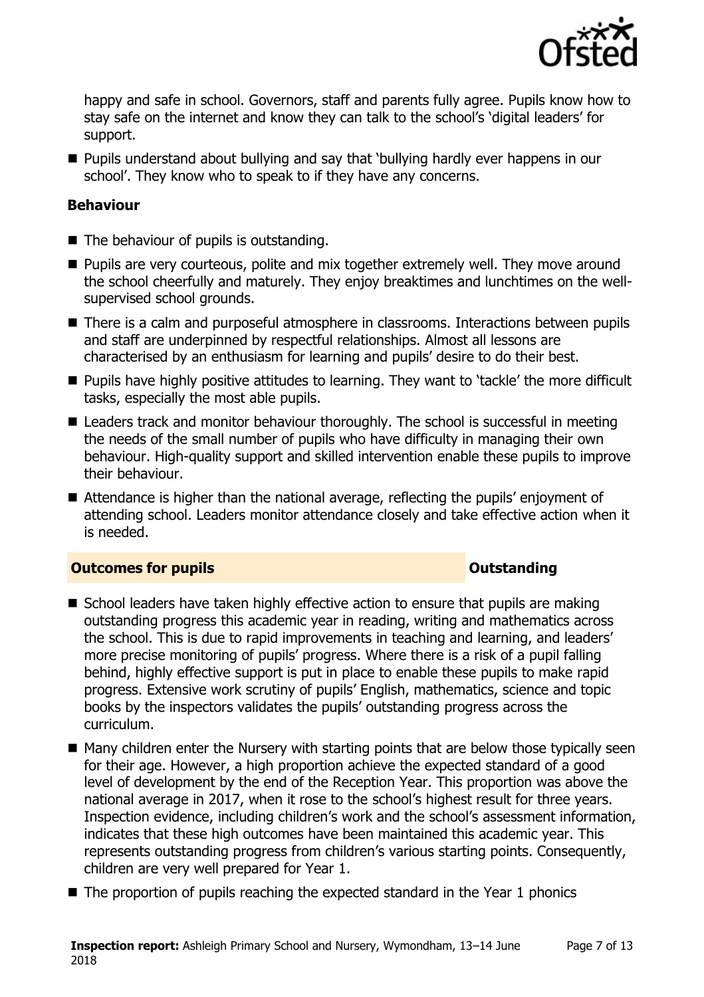

happy and safe in school. Governors, staff and parents fully agree. Pupils know how to stay safe on the internet and know they can talk to the school"s "digital leaders" for support.

 Pupils understand about bullying and say that "bullying hardly ever happens in our school'. They know who to speak to if they have any concerns.

#### **Behaviour**

- The behaviour of pupils is outstanding.
- **Pupils are very courteous, polite and mix together extremely well. They move around** the school cheerfully and maturely. They enjoy breaktimes and lunchtimes on the wellsupervised school grounds.
- There is a calm and purposeful atmosphere in classrooms. Interactions between pupils and staff are underpinned by respectful relationships. Almost all lessons are characterised by an enthusiasm for learning and pupils" desire to do their best.
- **Pupils have highly positive attitudes to learning. They want to 'tackle' the more difficult** tasks, especially the most able pupils.
- Leaders track and monitor behaviour thoroughly. The school is successful in meeting the needs of the small number of pupils who have difficulty in managing their own behaviour. High-quality support and skilled intervention enable these pupils to improve their behaviour.
- $\blacksquare$  Attendance is higher than the national average, reflecting the pupils' enjoyment of attending school. Leaders monitor attendance closely and take effective action when it is needed.

#### **Outcomes for pupils Outstanding**

- School leaders have taken highly effective action to ensure that pupils are making outstanding progress this academic year in reading, writing and mathematics across the school. This is due to rapid improvements in teaching and learning, and leaders" more precise monitoring of pupils" progress. Where there is a risk of a pupil falling behind, highly effective support is put in place to enable these pupils to make rapid progress. Extensive work scrutiny of pupils" English, mathematics, science and topic books by the inspectors validates the pupils" outstanding progress across the curriculum.
- $\blacksquare$  Many children enter the Nursery with starting points that are below those typically seen for their age. However, a high proportion achieve the expected standard of a good level of development by the end of the Reception Year. This proportion was above the national average in 2017, when it rose to the school"s highest result for three years. Inspection evidence, including children's work and the school's assessment information, indicates that these high outcomes have been maintained this academic year. This represents outstanding progress from children"s various starting points. Consequently, children are very well prepared for Year 1.
- The proportion of pupils reaching the expected standard in the Year 1 phonics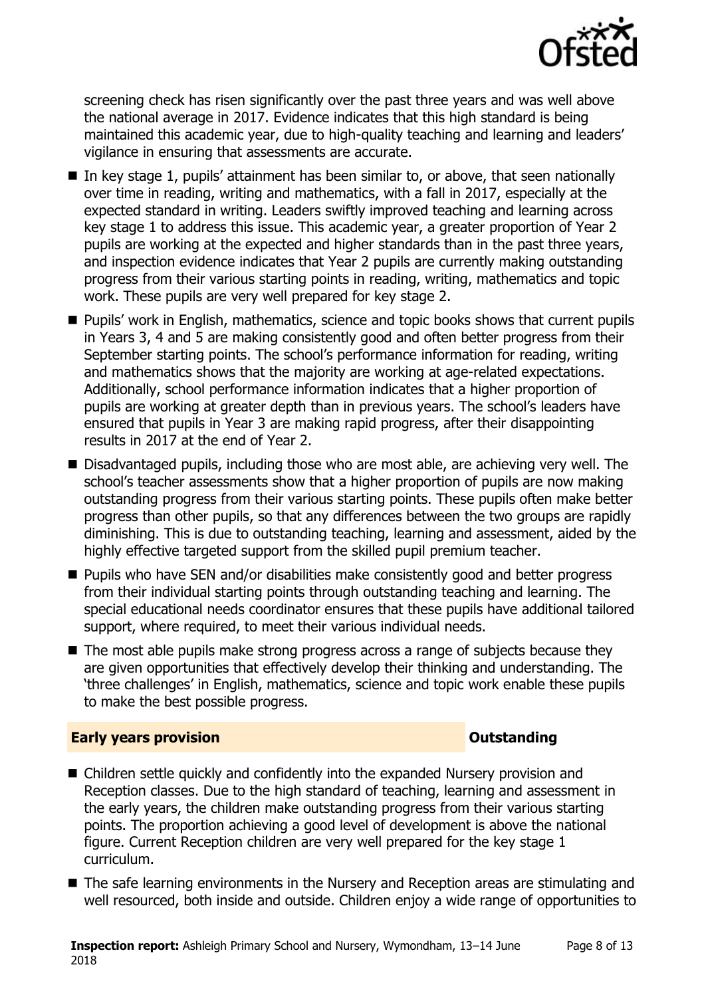

screening check has risen significantly over the past three years and was well above the national average in 2017. Evidence indicates that this high standard is being maintained this academic year, due to high-quality teaching and learning and leaders" vigilance in ensuring that assessments are accurate.

- $\blacksquare$  In key stage 1, pupils' attainment has been similar to, or above, that seen nationally over time in reading, writing and mathematics, with a fall in 2017, especially at the expected standard in writing. Leaders swiftly improved teaching and learning across key stage 1 to address this issue. This academic year, a greater proportion of Year 2 pupils are working at the expected and higher standards than in the past three years, and inspection evidence indicates that Year 2 pupils are currently making outstanding progress from their various starting points in reading, writing, mathematics and topic work. These pupils are very well prepared for key stage 2.
- **Pupils' work in English, mathematics, science and topic books shows that current pupils** in Years 3, 4 and 5 are making consistently good and often better progress from their September starting points. The school's performance information for reading, writing and mathematics shows that the majority are working at age-related expectations. Additionally, school performance information indicates that a higher proportion of pupils are working at greater depth than in previous years. The school"s leaders have ensured that pupils in Year 3 are making rapid progress, after their disappointing results in 2017 at the end of Year 2.
- Disadvantaged pupils, including those who are most able, are achieving very well. The school's teacher assessments show that a higher proportion of pupils are now making outstanding progress from their various starting points. These pupils often make better progress than other pupils, so that any differences between the two groups are rapidly diminishing. This is due to outstanding teaching, learning and assessment, aided by the highly effective targeted support from the skilled pupil premium teacher.
- Pupils who have SEN and/or disabilities make consistently good and better progress from their individual starting points through outstanding teaching and learning. The special educational needs coordinator ensures that these pupils have additional tailored support, where required, to meet their various individual needs.
- The most able pupils make strong progress across a range of subjects because they are given opportunities that effectively develop their thinking and understanding. The "three challenges" in English, mathematics, science and topic work enable these pupils to make the best possible progress.

#### **Early years provision CONSTANDING TO A RESEARCH CONSTANDING TO A RESEARCH CONSTANDING TO A RESEARCH CONSTANDING TO A RESEARCH CONSTANDING TO A RESEARCH CONSTANDING TO A RESEARCH CONSTANDING TO A RESEARCH CONSTANDING TO**

- Children settle quickly and confidently into the expanded Nursery provision and Reception classes. Due to the high standard of teaching, learning and assessment in the early years, the children make outstanding progress from their various starting points. The proportion achieving a good level of development is above the national figure. Current Reception children are very well prepared for the key stage 1 curriculum.
- The safe learning environments in the Nursery and Reception areas are stimulating and well resourced, both inside and outside. Children enjoy a wide range of opportunities to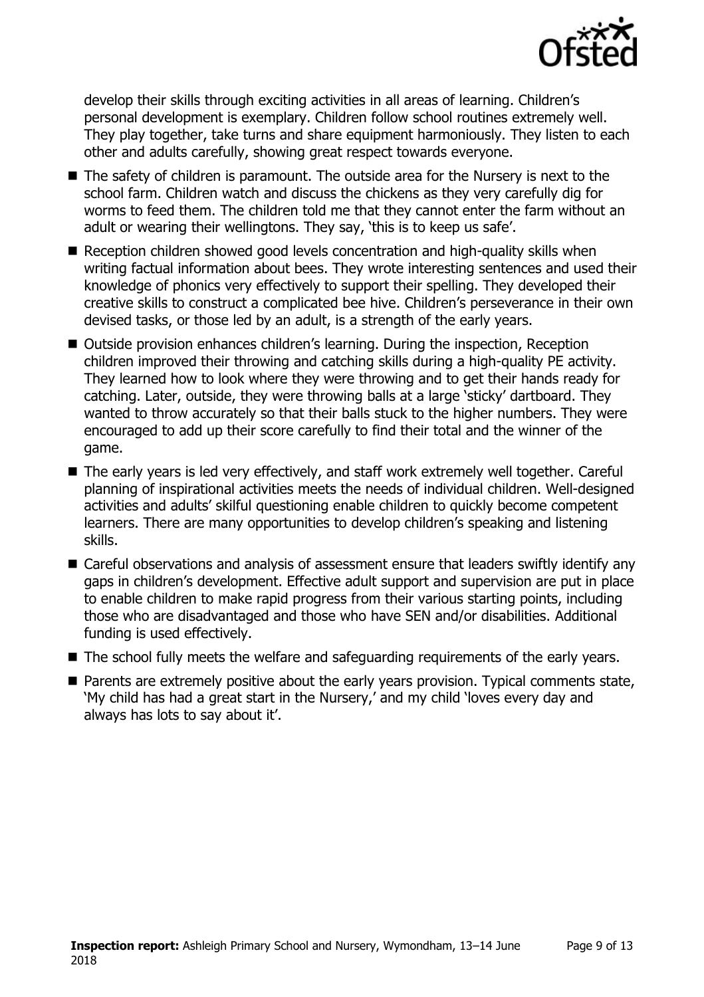

develop their skills through exciting activities in all areas of learning. Children"s personal development is exemplary. Children follow school routines extremely well. They play together, take turns and share equipment harmoniously. They listen to each other and adults carefully, showing great respect towards everyone.

- The safety of children is paramount. The outside area for the Nursery is next to the school farm. Children watch and discuss the chickens as they very carefully dig for worms to feed them. The children told me that they cannot enter the farm without an adult or wearing their wellingtons. They say, 'this is to keep us safe'.
- Reception children showed good levels concentration and high-quality skills when writing factual information about bees. They wrote interesting sentences and used their knowledge of phonics very effectively to support their spelling. They developed their creative skills to construct a complicated bee hive. Children"s perseverance in their own devised tasks, or those led by an adult, is a strength of the early years.
- Outside provision enhances children's learning. During the inspection, Reception children improved their throwing and catching skills during a high-quality PE activity. They learned how to look where they were throwing and to get their hands ready for catching. Later, outside, they were throwing balls at a large "sticky" dartboard. They wanted to throw accurately so that their balls stuck to the higher numbers. They were encouraged to add up their score carefully to find their total and the winner of the game.
- The early years is led very effectively, and staff work extremely well together. Careful planning of inspirational activities meets the needs of individual children. Well-designed activities and adults' skilful questioning enable children to quickly become competent learners. There are many opportunities to develop children"s speaking and listening skills.
- Careful observations and analysis of assessment ensure that leaders swiftly identify any gaps in children's development. Effective adult support and supervision are put in place to enable children to make rapid progress from their various starting points, including those who are disadvantaged and those who have SEN and/or disabilities. Additional funding is used effectively.
- The school fully meets the welfare and safeguarding requirements of the early years.
- **Parents are extremely positive about the early years provision. Typical comments state,** "My child has had a great start in the Nursery," and my child "loves every day and always has lots to say about it'.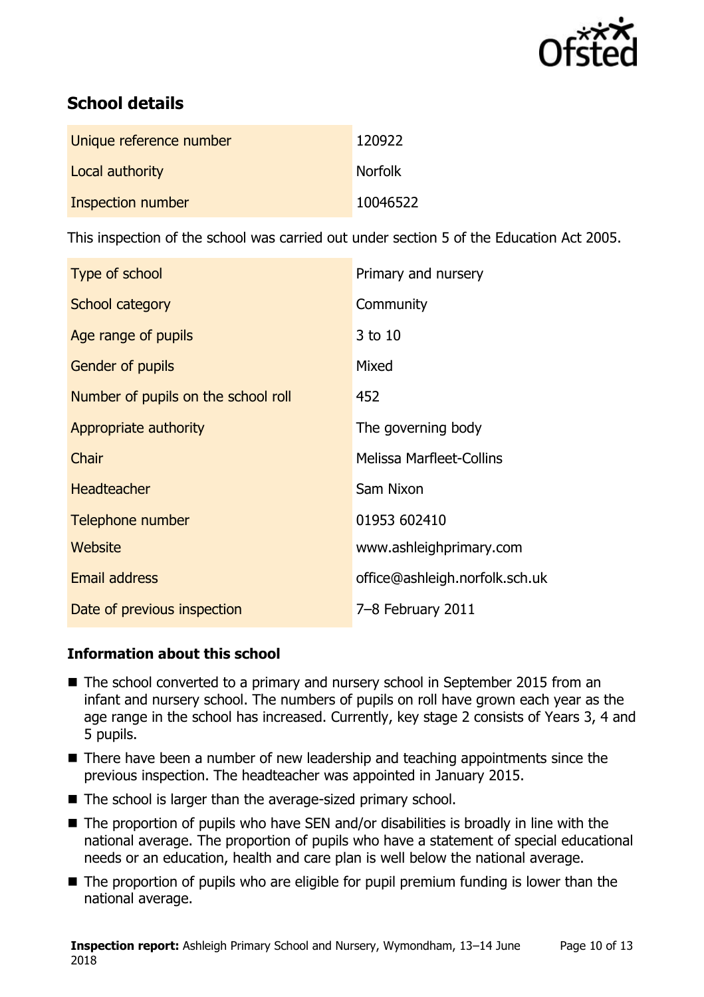

# **School details**

| Unique reference number | 120922         |
|-------------------------|----------------|
| Local authority         | <b>Norfolk</b> |
| Inspection number       | 10046522       |

This inspection of the school was carried out under section 5 of the Education Act 2005.

| Type of school                      | Primary and nursery             |
|-------------------------------------|---------------------------------|
| School category                     | Community                       |
| Age range of pupils                 | 3 to 10                         |
| Gender of pupils                    | Mixed                           |
| Number of pupils on the school roll | 452                             |
| Appropriate authority               | The governing body              |
| Chair                               | <b>Melissa Marfleet-Collins</b> |
| <b>Headteacher</b>                  | Sam Nixon                       |
| Telephone number                    | 01953 602410                    |
| Website                             | www.ashleighprimary.com         |
| <b>Email address</b>                | office@ashleigh.norfolk.sch.uk  |
| Date of previous inspection         | 7-8 February 2011               |

#### **Information about this school**

- The school converted to a primary and nursery school in September 2015 from an infant and nursery school. The numbers of pupils on roll have grown each year as the age range in the school has increased. Currently, key stage 2 consists of Years 3, 4 and 5 pupils.
- There have been a number of new leadership and teaching appointments since the previous inspection. The headteacher was appointed in January 2015.
- $\blacksquare$  The school is larger than the average-sized primary school.
- The proportion of pupils who have SEN and/or disabilities is broadly in line with the national average. The proportion of pupils who have a statement of special educational needs or an education, health and care plan is well below the national average.
- The proportion of pupils who are eligible for pupil premium funding is lower than the national average.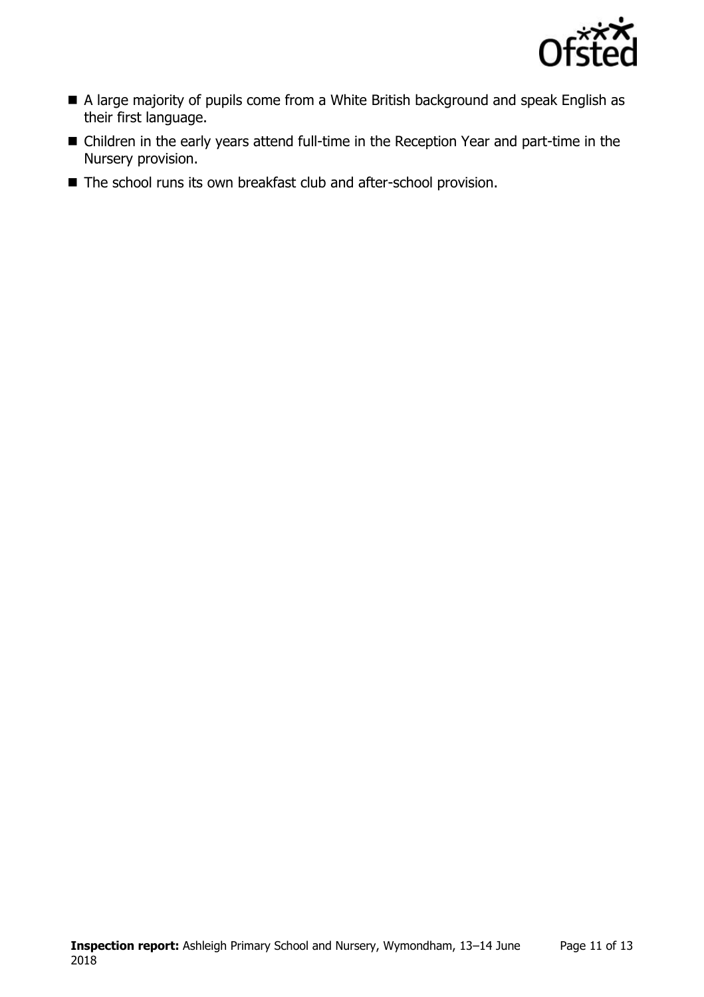

- A large majority of pupils come from a White British background and speak English as their first language.
- Children in the early years attend full-time in the Reception Year and part-time in the Nursery provision.
- The school runs its own breakfast club and after-school provision.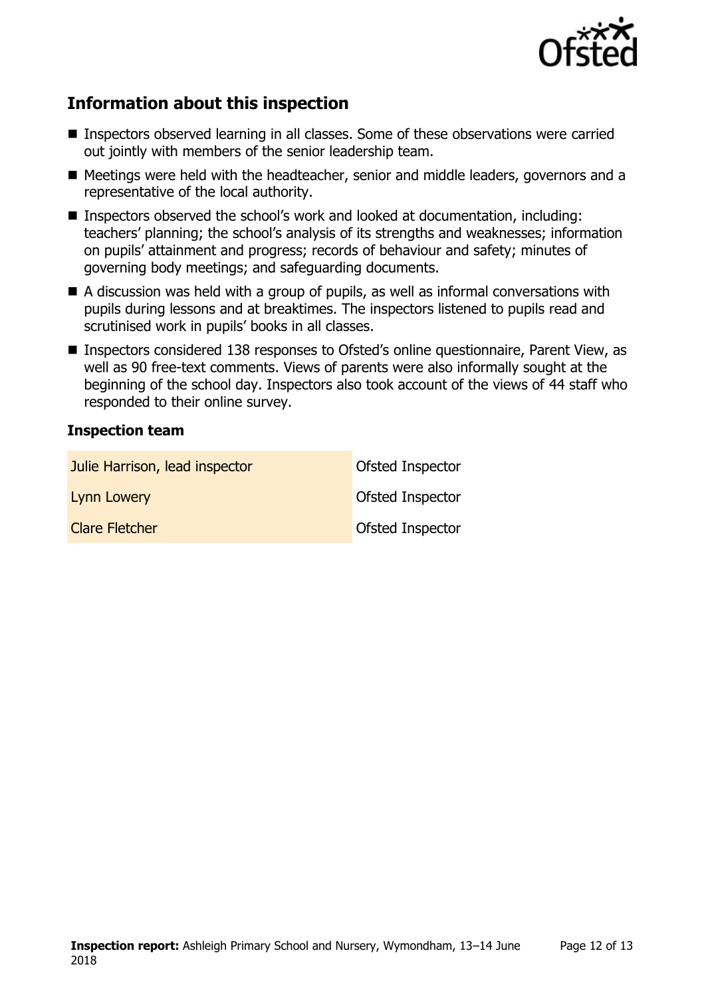

# **Information about this inspection**

- Inspectors observed learning in all classes. Some of these observations were carried out jointly with members of the senior leadership team.
- Meetings were held with the headteacher, senior and middle leaders, governors and a representative of the local authority.
- Inspectors observed the school's work and looked at documentation, including: teachers' planning; the school's analysis of its strengths and weaknesses; information on pupils" attainment and progress; records of behaviour and safety; minutes of governing body meetings; and safeguarding documents.
- A discussion was held with a group of pupils, as well as informal conversations with pupils during lessons and at breaktimes. The inspectors listened to pupils read and scrutinised work in pupils' books in all classes.
- Inspectors considered 138 responses to Ofsted's online questionnaire, Parent View, as well as 90 free-text comments. Views of parents were also informally sought at the beginning of the school day. Inspectors also took account of the views of 44 staff who responded to their online survey.

#### **Inspection team**

| Julie Harrison, lead inspector | Ofsted Inspector        |
|--------------------------------|-------------------------|
| Lynn Lowery                    | Ofsted Inspector        |
| <b>Clare Fletcher</b>          | <b>Ofsted Inspector</b> |